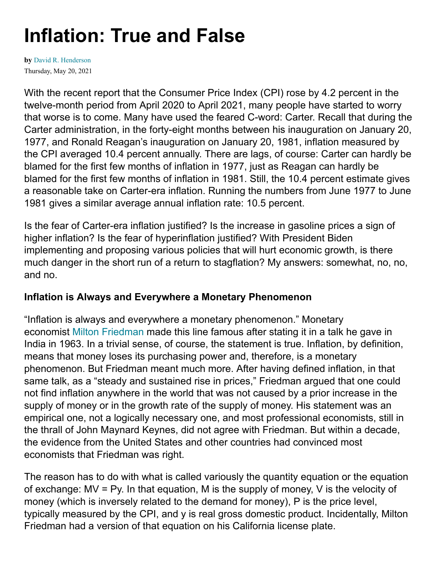# **Inflation: True and False**

**by** [David R. Henderson](https://www.hoover.org/profiles/david-r-henderson)Thursday, May 20, 2021

With the recent report that the Consumer Price Index (CPI) rose by 4.2 percent in the twelve-month period from April 2020 to April 2021, many people have started to worry that worse is to come. Many have used the feared C-word: Carter. Recall that during the Carter administration, in the forty-eight months between his inauguration on January 20, 1977, and Ronald Reagan's inauguration on January 20, 1981, inflation measured by the CPI averaged 10.4 percent annually. There are lags, of course: Carter can hardly be blamed for the first few months of inflation in 1977, just as Reagan can hardly be blamed for the first few months of inflation in 1981. Still, the 10.4 percent estimate gives a reasonable take on Carter-era inflation. Running the numbers from June 1977 to June 1981 gives a similar average annual inflation rate: 10.5 percent.

Is the fear of Carter-era inflation justified? Is the increase in gasoline prices a sign of higher inflation? Is the fear of hyperinflation justified? With President Biden implementing and proposing various policies that will hurt economic growth, is there much danger in the short run of a return to stagflation? My answers: somewhat, no, no, and no.

#### **Inflation is Always and Everywhere a Monetary Phenomenon**

"Inflation is always and everywhere a monetary phenomenon." Monetary economist Milton [Friedman](https://www.econlib.org/library/Enc/bios/Friedman.html) made this line famous after stating it in a talk he gave in India in 1963. In a trivial sense, of course, the statement is true. Inflation, by definition, means that money loses its purchasing power and, therefore, is a monetary phenomenon. But Friedman meant much more. After having defined inflation, in that same talk, as a "steady and sustained rise in prices," Friedman argued that one could not find inflation anywhere in the world that was not caused by a prior increase in the supply of money or in the growth rate of the supply of money. His statement was an empirical one, not a logically necessary one, and most professional economists, still in the thrall of John Maynard Keynes, did not agree with Friedman. But within a decade, the evidence from the United States and other countries had convinced most economists that Friedman was right.

The reason has to do with what is called variously the quantity equation or the equation of exchange: MV = Py. In that equation, M is the supply of money, V is the velocity of money (which is inversely related to the demand for money), P is the price level, typically measured by the CPI, and y is real gross domestic product. Incidentally, Milton Friedman had a version of that equation on his California license plate.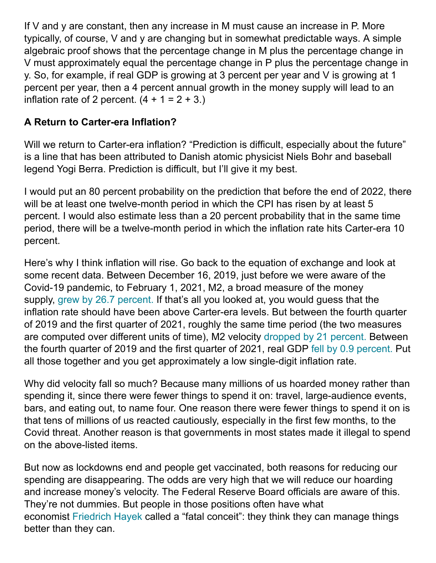If V and y are constant, then any increase in M must cause an increase in P. More typically, of course, V and y are changing but in somewhat predictable ways. A simple algebraic proof shows that the percentage change in M plus the percentage change in V must approximately equal the percentage change in P plus the percentage change in y. So, for example, if real GDP is growing at 3 percent per year and V is growing at 1 percent per year, then a 4 percent annual growth in the money supply will lead to an inflation rate of 2 percent.  $(4 + 1 = 2 + 3)$ .

## **A Return to Carter-era Inflation?**

Will we return to Carter-era inflation? "Prediction is difficult, especially about the future" is a line that has been attributed to Danish atomic physicist Niels Bohr and baseball legend Yogi Berra. Prediction is difficult, but I'll give it my best.

I would put an 80 percent probability on the prediction that before the end of 2022, there will be at least one twelve-month period in which the CPI has risen by at least 5 percent. I would also estimate less than a 20 percent probability that in the same time period, there will be a twelve-month period in which the inflation rate hits Carter-era 10 percent.

Here's why I think inflation will rise. Go back to the equation of exchange and look at some recent data. Between December 16, 2019, just before we were aware of the Covid-19 pandemic, to February 1, 2021, M2, a broad measure of the money supply, grew by 26.7 [percent.](https://fred.stlouisfed.org/series/M2) If that's all you looked at, you would guess that the inflation rate should have been above Carter-era levels. But between the fourth quarter of 2019 and the first quarter of 2021, roughly the same time period (the two measures are computed over different units of time), M2 velocity [dropped](https://fred.stlouisfed.org/series/M2V) by 21 percent. Between the fourth quarter of 2019 and the first quarter of 2021, real GDP fell by 0.9 [percent.](https://fred.stlouisfed.org/series/GDPC1) Put all those together and you get approximately a low single-digit inflation rate.

Why did velocity fall so much? Because many millions of us hoarded money rather than spending it, since there were fewer things to spend it on: travel, large-audience events, bars, and eating out, to name four. One reason there were fewer things to spend it on is that tens of millions of us reacted cautiously, especially in the first few months, to the Covid threat. Another reason is that governments in most states made it illegal to spend on the above-listed items.

But now as lockdowns end and people get vaccinated, both reasons for reducing our spending are disappearing. The odds are very high that we will reduce our hoarding and increase money's velocity. The Federal Reserve Board officials are aware of this. They're not dummies. But people in those positions often have what economist [Friedrich](https://www.econlib.org/library/Enc/bios/Hayek.html) Hayek called a "fatal conceit": they think they can manage things better than they can.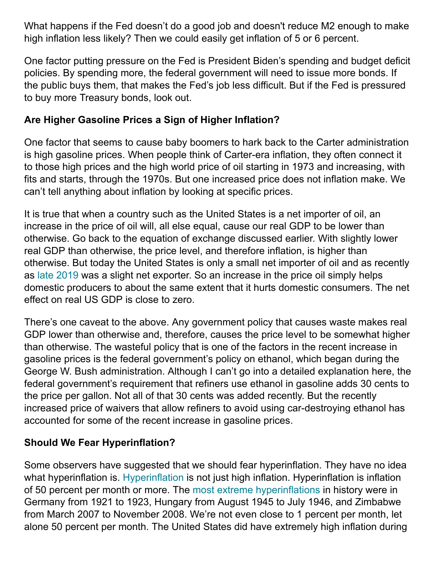What happens if the Fed doesn't do a good job and doesn't reduce M2 enough to make high inflation less likely? Then we could easily get inflation of 5 or 6 percent.

One factor putting pressure on the Fed is President Biden's spending and budget deficit policies. By spending more, the federal government will need to issue more bonds. If the public buys them, that makes the Fed's job less difficult. But if the Fed is pressured to buy more Treasury bonds, look out.

#### **Are Higher Gasoline Prices a Sign of Higher Inflation?**

One factor that seems to cause baby boomers to hark back to the Carter administration is high gasoline prices. When people think of Carter-era inflation, they often connect it to those high prices and the high world price of oil starting in 1973 and increasing, with fits and starts, through the 1970s. But one increased price does not inflation make. We can't tell anything about inflation by looking at specific prices.

It is true that when a country such as the United States is a net importer of oil, an increase in the price of oil will, all else equal, cause our real GDP to be lower than otherwise. Go back to the equation of exchange discussed earlier. With slightly lower real GDP than otherwise, the price level, and therefore inflation, is higher than otherwise. But today the United States is only a small net importer of oil and as recently as late [2019](https://www.hoover.org/research/first-rate-economic-report-i) was a slight net exporter. So an increase in the price oil simply helps domestic producers to about the same extent that it hurts domestic consumers. The net effect on real US GDP is close to zero.

There's one caveat to the above. Any government policy that causes waste makes real GDP lower than otherwise and, therefore, causes the price level to be somewhat higher than otherwise. The wasteful policy that is one of the factors in the recent increase in gasoline prices is the federal government's policy on ethanol, which began during the George W. Bush administration. Although I can't go into a detailed explanation here, the federal government's requirement that refiners use ethanol in gasoline adds 30 cents to the price per gallon. Not all of that 30 cents was added recently. But the recently increased price of waivers that allow refiners to avoid using car-destroying ethanol has accounted for some of the recent increase in gasoline prices.

### **Should We Fear Hyperinflation?**

Some observers have suggested that we should fear hyperinflation. They have no idea what hyperinflation is. [Hyperinflation](https://www.econlib.org/library/Enc/Hyperinflation.html) is not just high inflation. Hyperinflation is inflation of 50 percent per month or more. The most extreme [hyperinflations](https://www.investopedia.com/articles/personal-finance/122915/worst-hyperinflations-history.asp) in history were in Germany from 1921 to 1923, Hungary from August 1945 to July 1946, and Zimbabwe from March 2007 to November 2008. We're not even close to 1 percent per month, let alone 50 percent per month. The United States did have extremely high inflation during